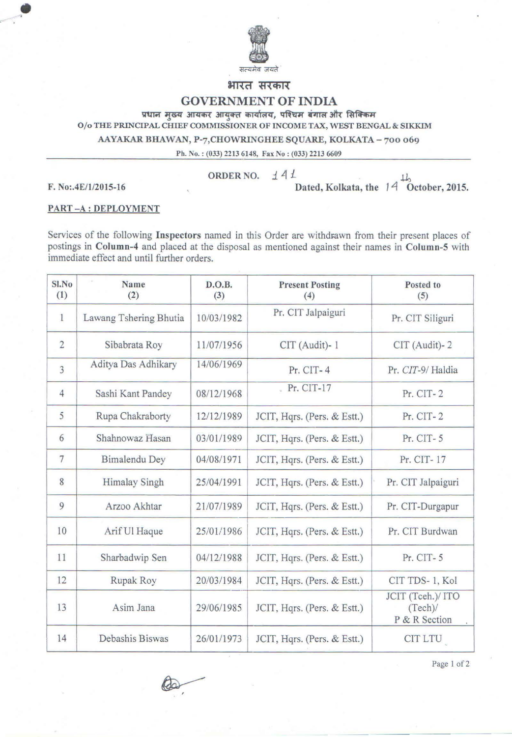

**भारत सरकार** 

## GOVERNMENT OF INDIA

प्रधान मुख्य आयकर आयुक्त कार्यालय, पश्चिम बंगाल और सिक्किम

0/o THE PRINCIPAL CHIEF COMMISSIONER OF INCOME TAX, WEST BENGAL & SIKKIM

AAYAKAR BHAWAN, P-7,CHOWRINGHEE SQUARE, KOLKATA - 700 069

Ph. No. : (033) 2213 6148, Fax No: (033) 2213 6609

 $\bullet$ 

ORDER NO.  $\angle$  44

F. No:.4E/1/2015-16 Dated, Kolkata, the 14 October, 2015.

## PART-A:DEPLOYMENT

Services of the following Inspectors named in this Order are withdrawn from their present places of postings in Column-4 and placed at the disposal as mentioned against their names in Column-S with immediate effect and until further orders.

| Sl.No<br>(1)    | Name<br>(2)            | D.O.B.<br>(3) | <b>Present Posting</b><br>(4) | Posted to<br>(5)                             |
|-----------------|------------------------|---------------|-------------------------------|----------------------------------------------|
| $\mathbf{1}$    | Lawang Tshering Bhutia | 10/03/1982    | Pr. CIT Jalpaiguri            | Pr. CIT Siliguri                             |
| $\overline{2}$  | Sibabrata Roy          | 11/07/1956    | CIT (Audit)-1                 | CIT (Audit)-2                                |
| 3               | Aditya Das Adhikary    | 14/06/1969    | Pr. CIT-4                     | Pr. CIT-9/Haldia                             |
| $\overline{4}$  | Sashi Kant Pandey      | 08/12/1968    | Pr. CIT-17                    | Pr. CIT-2                                    |
| 5               | Rupa Chakraborty       | 12/12/1989    | JCIT, Hqrs. (Pers. & Estt.)   | Pr. CIT-2                                    |
| 6               | Shahnowaz Hasan        | 03/01/1989    | JCIT, Hqrs. (Pers. & Estt.)   | $Pr. CIT-5$                                  |
| $7\phantom{.0}$ | Bimalendu Dey          | 04/08/1971    | JCIT, Hqrs. (Pers. & Estt.)   | Pr. CIT-17                                   |
| 8               | <b>Himalay Singh</b>   | 25/04/1991    | JCIT, Hqrs. (Pers. & Estt.)   | Pr. CIT Jalpaiguri                           |
| 9               | Arzoo Akhtar           | 21/07/1989    | JCIT, Hqrs. (Pers. & Estt.)   | Pr. CIT-Durgapur                             |
| 10              | Arif Ul Haque          | 25/01/1986    | JCIT, Hqrs. (Pers. & Estt.)   | Pr. CIT Burdwan                              |
| 11              | Sharbadwip Sen         | 04/12/1988    | JCIT, Hqrs. (Pers. & Estt.)   | Pr. CIT-5                                    |
| 12              | Rupak Roy              | 20/03/1984    | JCIT, Hqrs. (Pers. & Estt.)   | CIT TDS-1, Kol                               |
| 13              | Asim Jana              | 29/06/1985    | JCIT, Hqrs. (Pers. & Estt.)   | JCIT (Tceh.)/ ITO<br>(Tech)<br>P & R Section |
| 14              | Debashis Biswas        | 26/01/1973    | JCIT, Hqrs. (Pers. & Estt.)   | CIT LTU                                      |

Page I of 2